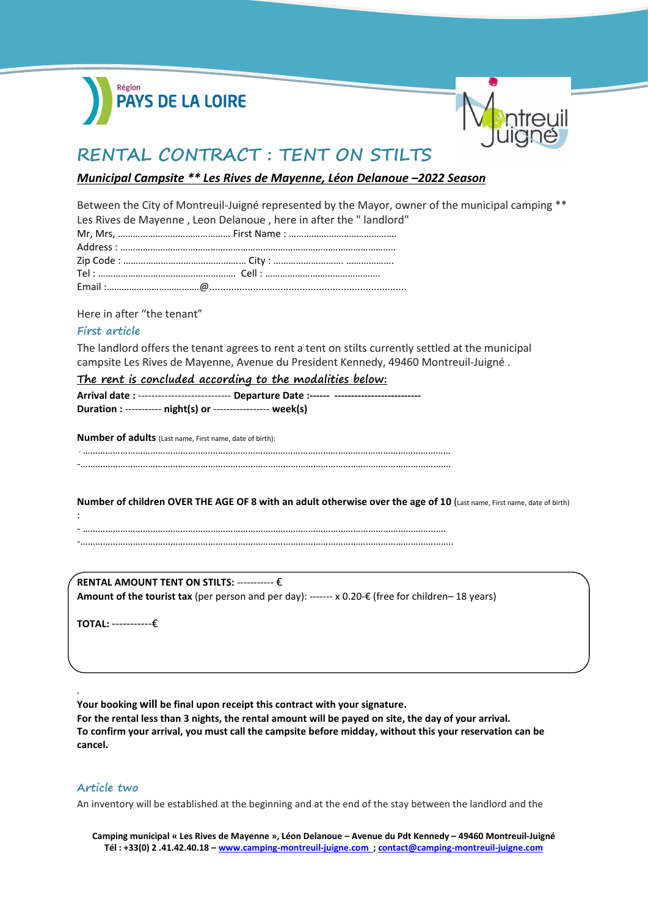



# **RENTAL CONTRACT : TENT ON STILTS**

## *Municipal Campsite \*\* Les Rives de Mayenne, Léon Delanoue –2022 Season*

Between the City of Montreuil-Juigné represented by the Mayor, owner of the municipal camping \*\* Les Rives de Mayenne , Leon Delanoue , here in after the " landlord"

Here in after "the tenant"

### **First article**

The landlord offers the tenant agrees to rent a tent on stilts currently settled at the municipal campsite Les Rives de Mayenne, Avenue du President Kennedy, 49460 Montreuil-Juigné .

**The rent is concluded according to the modalities below: Arrival date :** ---------------------------- **Departure Date :------ -------------------------- Duration :** ----------- **night(s) or** ----------------- **week(s)**

**Number of adults** (Last name, First name, date of birth):

-…………………………………………………………………………………………………………………………………

-mass and the contract of the contract of the contract of the contract of the contract of the contract of the contract of the contract of the contract of the contract of the contract of the contract of the contract of the

**Number of children OVER THE AGE OF 8 with an adult otherwise over the age of 10** (Last name, First name, date of birth) : - ……………………………………………………………………………………………………………………………….

-…………………………………………………………………………………………………………………………………..

**RENTAL AMOUNT TENT ON STILTS:** ----------- € **Amount of the tourist tax** (per person and per day): ------- x 0.20-€ (free for children– 18 years)

**TOTAL:** -----------€

**Your booking will be final upon receipt this contract with your signature.**

**For the rental less than 3 nights, the rental amount will be payed on site, the day of your arrival. To confirm your arrival, you must call the campsite before midday, without this your reservation can be cancel.**

### **Article two**

*.* 

An inventory will be established at the beginning and at the end of the stay between the landlord and the

**Camping municipal « Les Rives de Mayenne », Léon Delanoue – Avenue du Pdt Kennedy – 49460 Montreuil-Juigné Tél : +33(0) 2 .41.42.40.18 – [www.camping-montreuil-juigne.com ;](http://www.camping-montreuil-juigne.com/) [contact@camping-montreuil-juigne.com](file:///D:/D-1-Tourisme/Camping/Documents%20types/2020/Contrats%202020/Contrats%20normes%20COVID-19/FR/contact@camping-montreuil-juigne.com)**